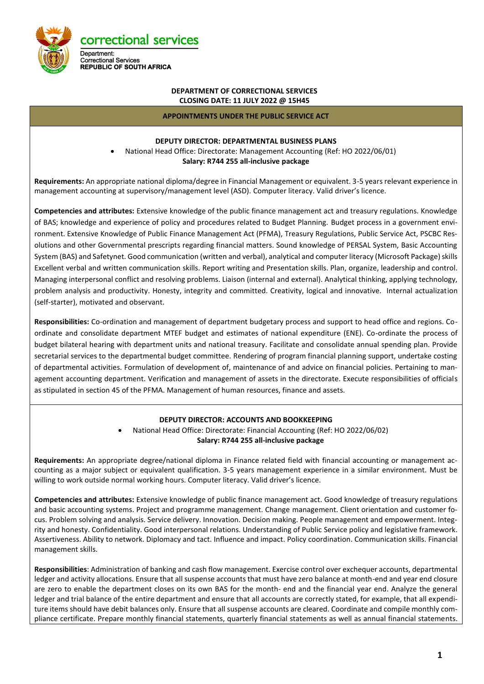

#### **DEPARTMENT OF CORRECTIONAL SERVICES CLOSING DATE: 11 JULY 2022 @ 15H45**

#### **APPOINTMENTS UNDER THE PUBLIC SERVICE ACT**

#### **DEPUTY DIRECTOR: DEPARTMENTAL BUSINESS PLANS**

• National Head Office: Directorate: Management Accounting (Ref: HO 2022/06/01) **Salary: R744 255 all-inclusive package**

**Requirements:** An appropriate national diploma/degree in Financial Management or equivalent. 3-5 years relevant experience in management accounting at supervisory/management level (ASD). Computer literacy. Valid driver's licence.

**Competencies and attributes:** Extensive knowledge of the public finance management act and treasury regulations. Knowledge of BAS; knowledge and experience of policy and procedures related to Budget Planning. Budget process in a government environment. Extensive Knowledge of Public Finance Management Act (PFMA), Treasury Regulations, Public Service Act, PSCBC Resolutions and other Governmental prescripts regarding financial matters. Sound knowledge of PERSAL System, Basic Accounting System (BAS) and Safetynet. Good communication (written and verbal), analytical and computer literacy (Microsoft Package) skills Excellent verbal and written communication skills. Report writing and Presentation skills. Plan, organize, leadership and control. Managing interpersonal conflict and resolving problems. Liaison (internal and external). Analytical thinking, applying technology, problem analysis and productivity. Honesty, integrity and committed. Creativity, logical and innovative. Internal actualization (self-starter), motivated and observant.

**Responsibilities:** Co-ordination and management of department budgetary process and support to head office and regions. Coordinate and consolidate department MTEF budget and estimates of national expenditure (ENE). Co-ordinate the process of budget bilateral hearing with department units and national treasury. Facilitate and consolidate annual spending plan. Provide secretarial services to the departmental budget committee. Rendering of program financial planning support, undertake costing of departmental activities. Formulation of development of, maintenance of and advice on financial policies. Pertaining to management accounting department. Verification and management of assets in the directorate. Execute responsibilities of officials as stipulated in section 45 of the PFMA. Management of human resources, finance and assets.

#### **DEPUTY DIRECTOR: ACCOUNTS AND BOOKKEEPING**

• National Head Office: Directorate: Financial Accounting (Ref: HO 2022/06/02) **Salary: R744 255 all-inclusive package**

**Requirements:** An appropriate degree/national diploma in Finance related field with financial accounting or management accounting as a major subject or equivalent qualification. 3-5 years management experience in a similar environment. Must be willing to work outside normal working hours. Computer literacy. Valid driver's licence.

**Competencies and attributes:** Extensive knowledge of public finance management act. Good knowledge of treasury regulations and basic accounting systems. Project and programme management. Change management. Client orientation and customer focus. Problem solving and analysis. Service delivery. Innovation. Decision making. People management and empowerment. Integrity and honesty. Confidentiality. Good interpersonal relations. Understanding of Public Service policy and legislative framework. Assertiveness. Ability to network. Diplomacy and tact. Influence and impact. Policy coordination. Communication skills. Financial management skills.

**Responsibilities**: Administration of banking and cash flow management. Exercise control over exchequer accounts, departmental ledger and activity allocations. Ensure that all suspense accounts that must have zero balance at month-end and year end closure are zero to enable the department closes on its own BAS for the month- end and the financial year end. Analyze the general ledger and trial balance of the entire department and ensure that all accounts are correctly stated, for example, that all expenditure items should have debit balances only. Ensure that all suspense accounts are cleared. Coordinate and compile monthly compliance certificate. Prepare monthly financial statements, quarterly financial statements as well as annual financial statements.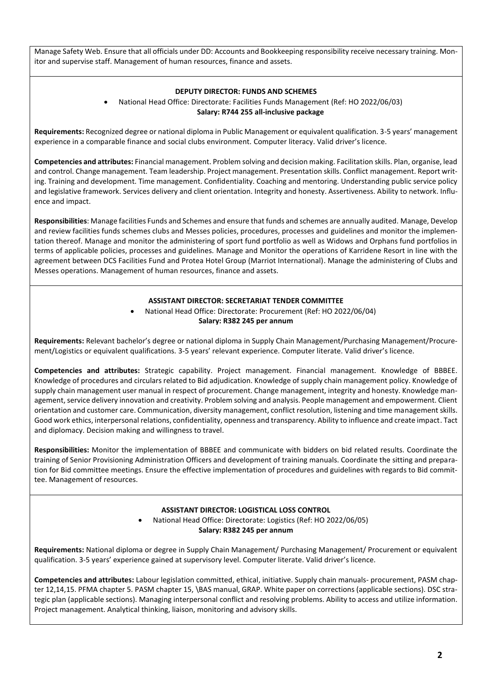Manage Safety Web. Ensure that all officials under DD: Accounts and Bookkeeping responsibility receive necessary training. Monitor and supervise staff. Management of human resources, finance and assets.

#### **DEPUTY DIRECTOR: FUNDS AND SCHEMES**

## • National Head Office: Directorate: Facilities Funds Management (Ref: HO 2022/06/03) **Salary: R744 255 all-inclusive package**

**Requirements:** Recognized degree or national diploma in Public Management or equivalent qualification. 3-5 years' management experience in a comparable finance and social clubs environment. Computer literacy. Valid driver's licence.

**Competencies and attributes:** Financial management. Problem solving and decision making. Facilitation skills. Plan, organise, lead and control. Change management. Team leadership. Project management. Presentation skills. Conflict management. Report writing. Training and development. Time management. Confidentiality. Coaching and mentoring. Understanding public service policy and legislative framework. Services delivery and client orientation. Integrity and honesty. Assertiveness. Ability to network. Influence and impact.

**Responsibilities**: Manage facilities Funds and Schemes and ensure that funds and schemes are annually audited. Manage, Develop and review facilities funds schemes clubs and Messes policies, procedures, processes and guidelines and monitor the implementation thereof. Manage and monitor the administering of sport fund portfolio as well as Widows and Orphans fund portfolios in terms of applicable policies, processes and guidelines. Manage and Monitor the operations of Karridene Resort in line with the agreement between DCS Facilities Fund and Protea Hotel Group (Marriot International). Manage the administering of Clubs and Messes operations. Management of human resources, finance and assets.

#### **ASSISTANT DIRECTOR: SECRETARIAT TENDER COMMITTEE**

• National Head Office: Directorate: Procurement (Ref: HO 2022/06/04) **Salary: R382 245 per annum**

**Requirements:** Relevant bachelor's degree or national diploma in Supply Chain Management/Purchasing Management/Procurement/Logistics or equivalent qualifications. 3-5 years' relevant experience. Computer literate. Valid driver's licence.

**Competencies and attributes:** Strategic capability. Project management. Financial management. Knowledge of BBBEE. Knowledge of procedures and circulars related to Bid adjudication. Knowledge of supply chain management policy. Knowledge of supply chain management user manual in respect of procurement. Change management, integrity and honesty. Knowledge management, service delivery innovation and creativity. Problem solving and analysis. People management and empowerment. Client orientation and customer care. Communication, diversity management, conflict resolution, listening and time management skills. Good work ethics, interpersonal relations, confidentiality, openness and transparency. Ability to influence and create impact. Tact and diplomacy. Decision making and willingness to travel.

**Responsibilities:** Monitor the implementation of BBBEE and communicate with bidders on bid related results. Coordinate the training of Senior Provisioning Administration Officers and development of training manuals. Coordinate the sitting and preparation for Bid committee meetings. Ensure the effective implementation of procedures and guidelines with regards to Bid committee. Management of resources.

### **ASSISTANT DIRECTOR: LOGISTICAL LOSS CONTROL**

• National Head Office: Directorate: Logistics (Ref: HO 2022/06/05) **Salary: R382 245 per annum**

**Requirements:** National diploma or degree in Supply Chain Management/ Purchasing Management/ Procurement or equivalent qualification. 3-5 years' experience gained at supervisory level. Computer literate. Valid driver's licence.

**Competencies and attributes:** Labour legislation committed, ethical, initiative. Supply chain manuals- procurement, PASM chapter 12,14,15. PFMA chapter 5. PASM chapter 15, \BAS manual, GRAP. White paper on corrections (applicable sections). DSC strategic plan (applicable sections). Managing interpersonal conflict and resolving problems. Ability to access and utilize information. Project management. Analytical thinking, liaison, monitoring and advisory skills.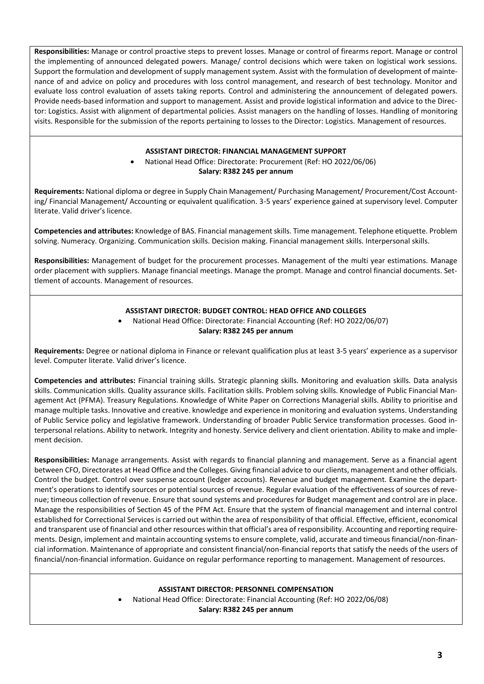**Responsibilities:** Manage or control proactive steps to prevent losses. Manage or control of firearms report. Manage or control the implementing of announced delegated powers. Manage/ control decisions which were taken on logistical work sessions. Support the formulation and development of supply management system. Assist with the formulation of development of maintenance of and advice on policy and procedures with loss control management, and research of best technology. Monitor and evaluate loss control evaluation of assets taking reports. Control and administering the announcement of delegated powers. Provide needs-based information and support to management. Assist and provide logistical information and advice to the Director: Logistics. Assist with alignment of departmental policies. Assist managers on the handling of losses. Handling of monitoring visits. Responsible for the submission of the reports pertaining to losses to the Director: Logistics. Management of resources.

### **ASSISTANT DIRECTOR: FINANCIAL MANAGEMENT SUPPORT**

• National Head Office: Directorate: Procurement (Ref: HO 2022/06/06) **Salary: R382 245 per annum**

**Requirements:** National diploma or degree in Supply Chain Management/ Purchasing Management/ Procurement/Cost Accounting/ Financial Management/ Accounting or equivalent qualification. 3-5 years' experience gained at supervisory level. Computer literate. Valid driver's licence.

**Competencies and attributes:** Knowledge of BAS. Financial management skills. Time management. Telephone etiquette. Problem solving. Numeracy. Organizing. Communication skills. Decision making. Financial management skills. Interpersonal skills.

**Responsibilities:** Management of budget for the procurement processes. Management of the multi year estimations. Manage order placement with suppliers. Manage financial meetings. Manage the prompt. Manage and control financial documents. Settlement of accounts. Management of resources.

## **ASSISTANT DIRECTOR: BUDGET CONTROL: HEAD OFFICE AND COLLEGES**

• National Head Office: Directorate: Financial Accounting (Ref: HO 2022/06/07) **Salary: R382 245 per annum**

**Requirements:** Degree or national diploma in Finance or relevant qualification plus at least 3-5 years' experience as a supervisor level. Computer literate. Valid driver's licence.

**Competencies and attributes:** Financial training skills. Strategic planning skills. Monitoring and evaluation skills. Data analysis skills. Communication skills. Quality assurance skills. Facilitation skills. Problem solving skills. Knowledge of Public Financial Management Act (PFMA). Treasury Regulations. Knowledge of White Paper on Corrections Managerial skills. Ability to prioritise and manage multiple tasks. Innovative and creative. knowledge and experience in monitoring and evaluation systems. Understanding of Public Service policy and legislative framework. Understanding of broader Public Service transformation processes. Good interpersonal relations. Ability to network. Integrity and honesty. Service delivery and client orientation. Ability to make and implement decision.

**Responsibilities:** Manage arrangements. Assist with regards to financial planning and management. Serve as a financial agent between CFO, Directorates at Head Office and the Colleges. Giving financial advice to our clients, management and other officials. Control the budget. Control over suspense account (ledger accounts). Revenue and budget management. Examine the department's operations to identify sources or potential sources of revenue. Regular evaluation of the effectiveness of sources of revenue; timeous collection of revenue. Ensure that sound systems and procedures for Budget management and control are in place. Manage the responsibilities of Section 45 of the PFM Act. Ensure that the system of financial management and internal control established for Correctional Services is carried out within the area of responsibility of that official. Effective, efficient, economical and transparent use of financial and other resources within that official's area of responsibility. Accounting and reporting requirements. Design, implement and maintain accounting systems to ensure complete, valid, accurate and timeous financial/non-financial information. Maintenance of appropriate and consistent financial/non-financial reports that satisfy the needs of the users of financial/non-financial information. Guidance on regular performance reporting to management. Management of resources.

### **ASSISTANT DIRECTOR: PERSONNEL COMPENSATION**

• National Head Office: Directorate: Financial Accounting (Ref: HO 2022/06/08)

**Salary: R382 245 per annum**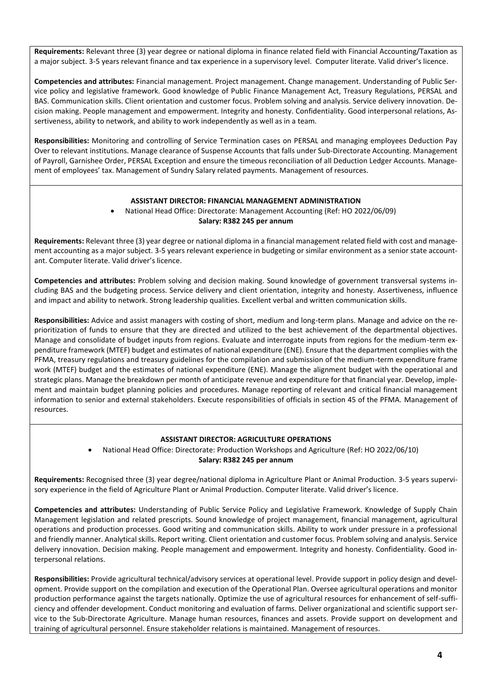**Requirements:** Relevant three (3) year degree or national diploma in finance related field with Financial Accounting/Taxation as a major subject. 3-5 years relevant finance and tax experience in a supervisory level. Computer literate. Valid driver's licence.

**Competencies and attributes:** Financial management. Project management. Change management. Understanding of Public Service policy and legislative framework. Good knowledge of Public Finance Management Act, Treasury Regulations, PERSAL and BAS. Communication skills. Client orientation and customer focus. Problem solving and analysis. Service delivery innovation. Decision making. People management and empowerment. Integrity and honesty. Confidentiality. Good interpersonal relations, Assertiveness, ability to network, and ability to work independently as well as in a team.

**Responsibilities:** Monitoring and controlling of Service Termination cases on PERSAL and managing employees Deduction Pay Over to relevant institutions. Manage clearance of Suspense Accounts that falls under Sub-Directorate Accounting. Management of Payroll, Garnishee Order, PERSAL Exception and ensure the timeous reconciliation of all Deduction Ledger Accounts. Management of employees' tax. Management of Sundry Salary related payments. Management of resources.

#### **ASSISTANT DIRECTOR: FINANCIAL MANAGEMENT ADMINISTRATION**

#### • National Head Office: Directorate: Management Accounting (Ref: HO 2022/06/09) **Salary: R382 245 per annum**

**Requirements:** Relevant three (3) year degree or national diploma in a financial management related field with cost and management accounting as a major subject. 3-5 years relevant experience in budgeting or similar environment as a senior state accountant. Computer literate. Valid driver's licence.

**Competencies and attributes:** Problem solving and decision making. Sound knowledge of government transversal systems including BAS and the budgeting process. Service delivery and client orientation, integrity and honesty. Assertiveness, influence and impact and ability to network. Strong leadership qualities. Excellent verbal and written communication skills.

**Responsibilities:** Advice and assist managers with costing of short, medium and long-term plans. Manage and advice on the reprioritization of funds to ensure that they are directed and utilized to the best achievement of the departmental objectives. Manage and consolidate of budget inputs from regions. Evaluate and interrogate inputs from regions for the medium-term expenditure framework (MTEF) budget and estimates of national expenditure (ENE). Ensure that the department complies with the PFMA, treasury regulations and treasury guidelines for the compilation and submission of the medium-term expenditure frame work (MTEF) budget and the estimates of national expenditure (ENE). Manage the alignment budget with the operational and strategic plans. Manage the breakdown per month of anticipate revenue and expenditure for that financial year. Develop, implement and maintain budget planning policies and procedures. Manage reporting of relevant and critical financial management information to senior and external stakeholders. Execute responsibilities of officials in section 45 of the PFMA. Management of resources.

### **ASSISTANT DIRECTOR: AGRICULTURE OPERATIONS**

• National Head Office: Directorate: Production Workshops and Agriculture (Ref: HO 2022/06/10) **Salary: R382 245 per annum**

**Requirements:** Recognised three (3) year degree/national diploma in Agriculture Plant or Animal Production. 3-5 years supervisory experience in the field of Agriculture Plant or Animal Production. Computer literate. Valid driver's licence.

**Competencies and attributes:** Understanding of Public Service Policy and Legislative Framework. Knowledge of Supply Chain Management legislation and related prescripts. Sound knowledge of project management, financial management, agricultural operations and production processes. Good writing and communication skills. Ability to work under pressure in a professional and friendly manner. Analytical skills. Report writing. Client orientation and customer focus. Problem solving and analysis. Service delivery innovation. Decision making. People management and empowerment. Integrity and honesty. Confidentiality. Good interpersonal relations.

**Responsibilities:** Provide agricultural technical/advisory services at operational level. Provide support in policy design and development. Provide support on the compilation and execution of the Operational Plan. Oversee agricultural operations and monitor production performance against the targets nationally. Optimize the use of agricultural resources for enhancement of self-sufficiency and offender development. Conduct monitoring and evaluation of farms. Deliver organizational and scientific support service to the Sub-Directorate Agriculture. Manage human resources, finances and assets. Provide support on development and training of agricultural personnel. Ensure stakeholder relations is maintained. Management of resources.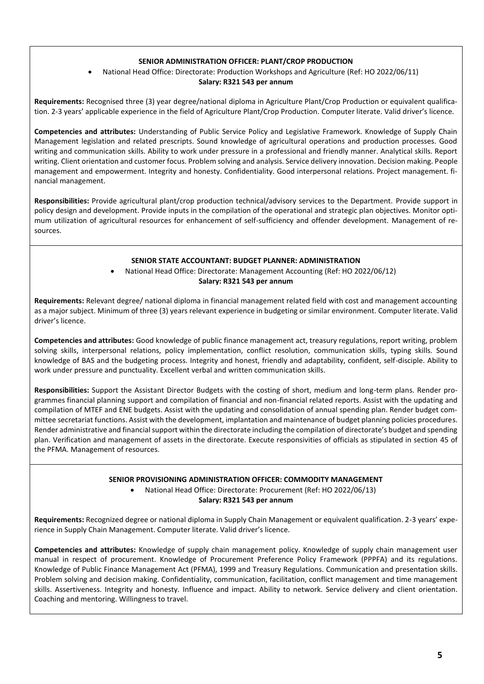## **SENIOR ADMINISTRATION OFFICER: PLANT/CROP PRODUCTION**

• National Head Office: Directorate: Production Workshops and Agriculture (Ref: HO 2022/06/11)

#### **Salary: R321 543 per annum**

**Requirements:** Recognised three (3) year degree/national diploma in Agriculture Plant/Crop Production or equivalent qualification. 2-3 years' applicable experience in the field of Agriculture Plant/Crop Production. Computer literate. Valid driver's licence.

**Competencies and attributes:** Understanding of Public Service Policy and Legislative Framework. Knowledge of Supply Chain Management legislation and related prescripts. Sound knowledge of agricultural operations and production processes. Good writing and communication skills. Ability to work under pressure in a professional and friendly manner. Analytical skills. Report writing. Client orientation and customer focus. Problem solving and analysis. Service delivery innovation. Decision making. People management and empowerment. Integrity and honesty. Confidentiality. Good interpersonal relations. Project management. financial management.

**Responsibilities:** Provide agricultural plant/crop production technical/advisory services to the Department. Provide support in policy design and development. Provide inputs in the compilation of the operational and strategic plan objectives. Monitor optimum utilization of agricultural resources for enhancement of self-sufficiency and offender development. Management of resources.

#### **SENIOR STATE ACCOUNTANT: BUDGET PLANNER: ADMINISTRATION**

• National Head Office: Directorate: Management Accounting (Ref: HO 2022/06/12)

**Salary: R321 543 per annum**

**Requirements:** Relevant degree/ national diploma in financial management related field with cost and management accounting as a major subject. Minimum of three (3) years relevant experience in budgeting or similar environment. Computer literate. Valid driver's licence.

**Competencies and attributes:** Good knowledge of public finance management act, treasury regulations, report writing, problem solving skills, interpersonal relations, policy implementation, conflict resolution, communication skills, typing skills. Sound knowledge of BAS and the budgeting process. Integrity and honest, friendly and adaptability, confident, self-disciple. Ability to work under pressure and punctuality. Excellent verbal and written communication skills.

**Responsibilities:** Support the Assistant Director Budgets with the costing of short, medium and long-term plans. Render programmes financial planning support and compilation of financial and non-financial related reports. Assist with the updating and compilation of MTEF and ENE budgets. Assist with the updating and consolidation of annual spending plan. Render budget committee secretariat functions. Assist with the development, implantation and maintenance of budget planning policies procedures. Render administrative and financial support within the directorate including the compilation of directorate's budget and spending plan. Verification and management of assets in the directorate. Execute responsivities of officials as stipulated in section 45 of the PFMA. Management of resources.

## **SENIOR PROVISIONING ADMINISTRATION OFFICER: COMMODITY MANAGEMENT**

• National Head Office: Directorate: Procurement (Ref: HO 2022/06/13) **Salary: R321 543 per annum**

**Requirements:** Recognized degree or national diploma in Supply Chain Management or equivalent qualification. 2-3 years' experience in Supply Chain Management. Computer literate. Valid driver's licence.

**Competencies and attributes:** Knowledge of supply chain management policy. Knowledge of supply chain management user manual in respect of procurement. Knowledge of Procurement Preference Policy Framework (PPPFA) and its regulations. Knowledge of Public Finance Management Act (PFMA), 1999 and Treasury Regulations. Communication and presentation skills. Problem solving and decision making. Confidentiality, communication, facilitation, conflict management and time management skills. Assertiveness. Integrity and honesty. Influence and impact. Ability to network. Service delivery and client orientation. Coaching and mentoring. Willingness to travel.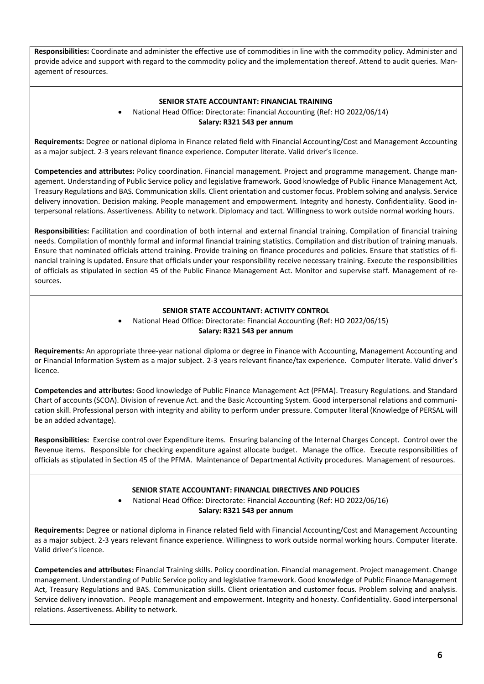**Responsibilities:** Coordinate and administer the effective use of commodities in line with the commodity policy. Administer and provide advice and support with regard to the commodity policy and the implementation thereof. Attend to audit queries. Management of resources.

#### **SENIOR STATE ACCOUNTANT: FINANCIAL TRAINING**

• National Head Office: Directorate: Financial Accounting (Ref: HO 2022/06/14) **Salary: R321 543 per annum**

**Requirements:** Degree or national diploma in Finance related field with Financial Accounting/Cost and Management Accounting as a major subject. 2-3 years relevant finance experience. Computer literate. Valid driver's licence.

**Competencies and attributes:** Policy coordination. Financial management. Project and programme management. Change management. Understanding of Public Service policy and legislative framework. Good knowledge of Public Finance Management Act, Treasury Regulations and BAS. Communication skills. Client orientation and customer focus. Problem solving and analysis. Service delivery innovation. Decision making. People management and empowerment. Integrity and honesty. Confidentiality. Good interpersonal relations. Assertiveness. Ability to network. Diplomacy and tact. Willingness to work outside normal working hours.

**Responsibilities:** Facilitation and coordination of both internal and external financial training. Compilation of financial training needs. Compilation of monthly formal and informal financial training statistics. Compilation and distribution of training manuals. Ensure that nominated officials attend training. Provide training on finance procedures and policies. Ensure that statistics of financial training is updated. Ensure that officials under your responsibility receive necessary training. Execute the responsibilities of officials as stipulated in section 45 of the Public Finance Management Act. Monitor and supervise staff. Management of resources.

### **SENIOR STATE ACCOUNTANT: ACTIVITY CONTROL**

• National Head Office: Directorate: Financial Accounting (Ref: HO 2022/06/15) **Salary: R321 543 per annum**

**Requirements:** An appropriate three-year national diploma or degree in Finance with Accounting, Management Accounting and or Financial Information System as a major subject. 2-3 years relevant finance/tax experience. Computer literate. Valid driver's licence.

**Competencies and attributes:** Good knowledge of Public Finance Management Act (PFMA). Treasury Regulations. and Standard Chart of accounts (SCOA). Division of revenue Act. and the Basic Accounting System. Good interpersonal relations and communication skill. Professional person with integrity and ability to perform under pressure. Computer literal (Knowledge of PERSAL will be an added advantage).

**Responsibilities:** Exercise control over Expenditure items. Ensuring balancing of the Internal Charges Concept. Control over the Revenue items. Responsible for checking expenditure against allocate budget. Manage the office. Execute responsibilities of officials as stipulated in Section 45 of the PFMA. Maintenance of Departmental Activity procedures. Management of resources.

### **SENIOR STATE ACCOUNTANT: FINANCIAL DIRECTIVES AND POLICIES**

• National Head Office: Directorate: Financial Accounting (Ref: HO 2022/06/16) **Salary: R321 543 per annum**

**Requirements:** Degree or national diploma in Finance related field with Financial Accounting/Cost and Management Accounting as a major subject. 2-3 years relevant finance experience. Willingness to work outside normal working hours. Computer literate. Valid driver's licence.

**Competencies and attributes:** Financial Training skills. Policy coordination. Financial management. Project management. Change management. Understanding of Public Service policy and legislative framework. Good knowledge of Public Finance Management Act, Treasury Regulations and BAS. Communication skills. Client orientation and customer focus. Problem solving and analysis. Service delivery innovation. People management and empowerment. Integrity and honesty. Confidentiality. Good interpersonal relations. Assertiveness. Ability to network.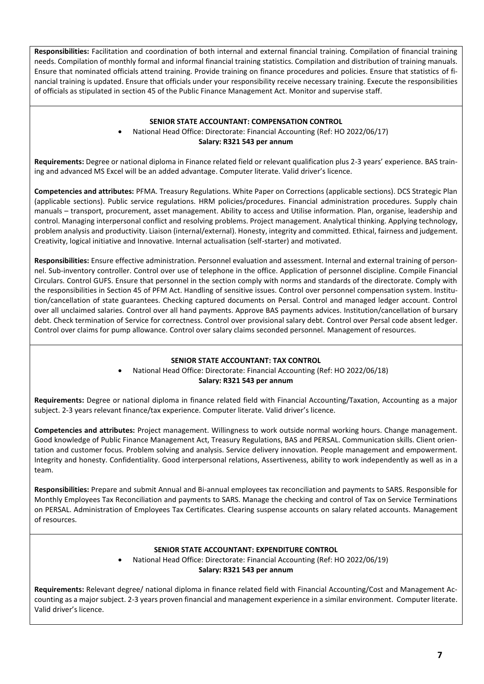**Responsibilities:** Facilitation and coordination of both internal and external financial training. Compilation of financial training needs. Compilation of monthly formal and informal financial training statistics. Compilation and distribution of training manuals. Ensure that nominated officials attend training. Provide training on finance procedures and policies. Ensure that statistics of financial training is updated. Ensure that officials under your responsibility receive necessary training. Execute the responsibilities of officials as stipulated in section 45 of the Public Finance Management Act. Monitor and supervise staff.

## **SENIOR STATE ACCOUNTANT: COMPENSATION CONTROL**

## • National Head Office: Directorate: Financial Accounting (Ref: HO 2022/06/17) **Salary: R321 543 per annum**

**Requirements:** Degree or national diploma in Finance related field or relevant qualification plus 2-3 years' experience. BAS training and advanced MS Excel will be an added advantage. Computer literate. Valid driver's licence.

**Competencies and attributes:** PFMA. Treasury Regulations. White Paper on Corrections (applicable sections). DCS Strategic Plan (applicable sections). Public service regulations. HRM policies/procedures. Financial administration procedures. Supply chain manuals – transport, procurement, asset management. Ability to access and Utilise information. Plan, organise, leadership and control. Managing interpersonal conflict and resolving problems. Project management. Analytical thinking. Applying technology, problem analysis and productivity. Liaison (internal/external). Honesty, integrity and committed. Ethical, fairness and judgement. Creativity, logical initiative and Innovative. Internal actualisation (self-starter) and motivated.

**Responsibilities:** Ensure effective administration. Personnel evaluation and assessment. Internal and external training of personnel. Sub-inventory controller. Control over use of telephone in the office. Application of personnel discipline. Compile Financial Circulars. Control GUFS. Ensure that personnel in the section comply with norms and standards of the directorate. Comply with the responsibilities in Section 45 of PFM Act. Handling of sensitive issues. Control over personnel compensation system. Institution/cancellation of state guarantees. Checking captured documents on Persal. Control and managed ledger account. Control over all unclaimed salaries. Control over all hand payments. Approve BAS payments advices. Institution/cancellation of bursary debt. Check termination of Service for correctness. Control over provisional salary debt. Control over Persal code absent ledger. Control over claims for pump allowance. Control over salary claims seconded personnel. Management of resources.

### **SENIOR STATE ACCOUNTANT: TAX CONTROL**

## • National Head Office: Directorate: Financial Accounting (Ref: HO 2022/06/18) **Salary: R321 543 per annum**

**Requirements:** Degree or national diploma in finance related field with Financial Accounting/Taxation, Accounting as a major subject. 2-3 years relevant finance/tax experience. Computer literate. Valid driver's licence.

**Competencies and attributes:** Project management. Willingness to work outside normal working hours. Change management. Good knowledge of Public Finance Management Act, Treasury Regulations, BAS and PERSAL. Communication skills. Client orientation and customer focus. Problem solving and analysis. Service delivery innovation. People management and empowerment. Integrity and honesty. Confidentiality. Good interpersonal relations, Assertiveness, ability to work independently as well as in a team.

**Responsibilities:** Prepare and submit Annual and Bi-annual employees tax reconciliation and payments to SARS. Responsible for Monthly Employees Tax Reconciliation and payments to SARS. Manage the checking and control of Tax on Service Terminations on PERSAL. Administration of Employees Tax Certificates. Clearing suspense accounts on salary related accounts. Management of resources.

### **SENIOR STATE ACCOUNTANT: EXPENDITURE CONTROL**

• National Head Office: Directorate: Financial Accounting (Ref: HO 2022/06/19) **Salary: R321 543 per annum**

**Requirements:** Relevant degree/ national diploma in finance related field with Financial Accounting/Cost and Management Accounting as a major subject. 2-3 years proven financial and management experience in a similar environment. Computer literate. Valid driver's licence.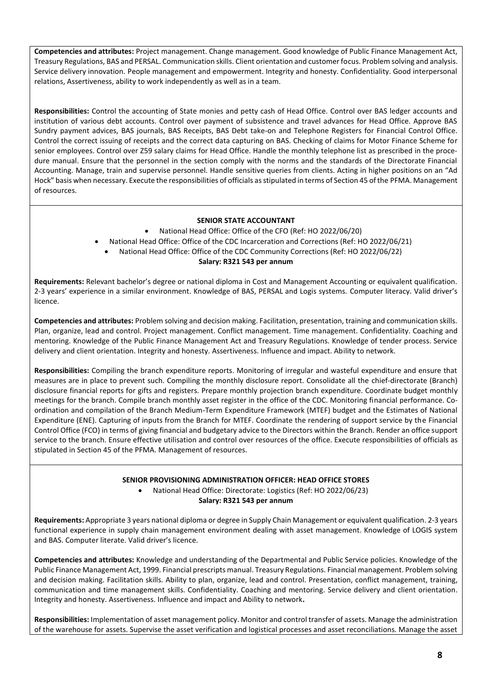**Competencies and attributes:** Project management. Change management. Good knowledge of Public Finance Management Act, Treasury Regulations, BAS and PERSAL. Communication skills. Client orientation and customer focus. Problem solving and analysis. Service delivery innovation. People management and empowerment. Integrity and honesty. Confidentiality. Good interpersonal relations, Assertiveness, ability to work independently as well as in a team.

**Responsibilities:** Control the accounting of State monies and petty cash of Head Office. Control over BAS ledger accounts and institution of various debt accounts. Control over payment of subsistence and travel advances for Head Office. Approve BAS Sundry payment advices, BAS journals, BAS Receipts, BAS Debt take-on and Telephone Registers for Financial Control Office. Control the correct issuing of receipts and the correct data capturing on BAS. Checking of claims for Motor Finance Scheme for senior employees. Control over Z59 salary claims for Head Office. Handle the monthly telephone list as prescribed in the procedure manual. Ensure that the personnel in the section comply with the norms and the standards of the Directorate Financial Accounting. Manage, train and supervise personnel. Handle sensitive queries from clients. Acting in higher positions on an "Ad Hock" basis when necessary. Execute the responsibilities of officials as stipulated in terms of Section 45 of the PFMA. Management of resources.

## **SENIOR STATE ACCOUNTANT**

- National Head Office: Office of the CFO (Ref: HO 2022/06/20)
- National Head Office: Office of the CDC Incarceration and Corrections (Ref: HO 2022/06/21)
- National Head Office: Office of the CDC Community Corrections (Ref: HO 2022/06/22)

#### **Salary: R321 543 per annum**

**Requirements:** Relevant bachelor's degree or national diploma in Cost and Management Accounting or equivalent qualification. 2-3 years' experience in a similar environment. Knowledge of BAS, PERSAL and Logis systems. Computer literacy. Valid driver's licence.

**Competencies and attributes:** Problem solving and decision making. Facilitation, presentation, training and communication skills. Plan, organize, lead and control. Project management. Conflict management. Time management. Confidentiality. Coaching and mentoring. Knowledge of the Public Finance Management Act and Treasury Regulations. Knowledge of tender process. Service delivery and client orientation. Integrity and honesty. Assertiveness. Influence and impact. Ability to network.

**Responsibilities:** Compiling the branch expenditure reports. Monitoring of irregular and wasteful expenditure and ensure that measures are in place to prevent such. Compiling the monthly disclosure report. Consolidate all the chief-directorate (Branch) disclosure financial reports for gifts and registers. Prepare monthly projection branch expenditure. Coordinate budget monthly meetings for the branch. Compile branch monthly asset register in the office of the CDC. Monitoring financial performance. Coordination and compilation of the Branch Medium-Term Expenditure Framework (MTEF) budget and the Estimates of National Expenditure (ENE). Capturing of inputs from the Branch for MTEF. Coordinate the rendering of support service by the Financial Control Office (FCO) in terms of giving financial and budgetary advice to the Directors within the Branch. Render an office support service to the branch. Ensure effective utilisation and control over resources of the office. Execute responsibilities of officials as stipulated in Section 45 of the PFMA. Management of resources.

### **SENIOR PROVISIONING ADMINISTRATION OFFICER: HEAD OFFICE STORES**

• National Head Office: Directorate: Logistics (Ref: HO 2022/06/23) **Salary: R321 543 per annum**

**Requirements:** Appropriate 3 years national diploma or degree in Supply Chain Management or equivalent qualification. 2-3 years functional experience in supply chain management environment dealing with asset management. Knowledge of LOGIS system and BAS. Computer literate. Valid driver's licence.

**Competencies and attributes:** Knowledge and understanding of the Departmental and Public Service policies. Knowledge of the Public Finance Management Act, 1999. Financial prescripts manual. Treasury Regulations. Financial management. Problem solving and decision making. Facilitation skills. Ability to plan, organize, lead and control. Presentation, conflict management, training, communication and time management skills. Confidentiality. Coaching and mentoring. Service delivery and client orientation. Integrity and honesty. Assertiveness. Influence and impact and Ability to network**.**

**Responsibilities:** Implementation of asset management policy. Monitor and control transfer of assets. Manage the administration of the warehouse for assets. Supervise the asset verification and logistical processes and asset reconciliations. Manage the asset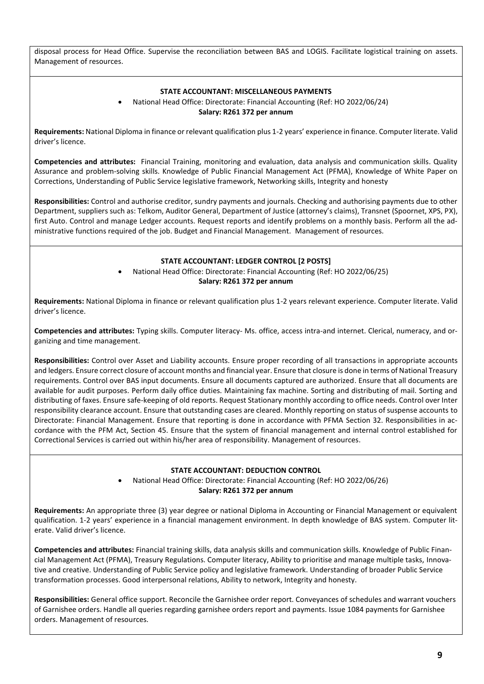disposal process for Head Office. Supervise the reconciliation between BAS and LOGIS. Facilitate logistical training on assets. Management of resources.

### **STATE ACCOUNTANT: MISCELLANEOUS PAYMENTS**

• National Head Office: Directorate: Financial Accounting (Ref: HO 2022/06/24) **Salary: R261 372 per annum**

**Requirements:** National Diploma in finance or relevant qualification plus 1-2 years' experience in finance. Computer literate. Valid driver's licence.

**Competencies and attributes:** Financial Training, monitoring and evaluation, data analysis and communication skills. Quality Assurance and problem-solving skills. Knowledge of Public Financial Management Act (PFMA), Knowledge of White Paper on Corrections, Understanding of Public Service legislative framework, Networking skills, Integrity and honesty

**Responsibilities:** Control and authorise creditor, sundry payments and journals. Checking and authorising payments due to other Department, suppliers such as: Telkom, Auditor General, Department of Justice (attorney's claims), Transnet (Spoornet, XPS, PX), first Auto. Control and manage Ledger accounts. Request reports and identify problems on a monthly basis. Perform all the administrative functions required of the job. Budget and Financial Management. Management of resources.

#### **STATE ACCOUNTANT: LEDGER CONTROL [2 POSTS]**

• National Head Office: Directorate: Financial Accounting (Ref: HO 2022/06/25) **Salary: R261 372 per annum**

**Requirements:** National Diploma in finance or relevant qualification plus 1-2 years relevant experience. Computer literate. Valid driver's licence.

**Competencies and attributes:** Typing skills. Computer literacy- Ms. office, access intra-and internet. Clerical, numeracy, and organizing and time management.

**Responsibilities:** Control over Asset and Liability accounts. Ensure proper recording of all transactions in appropriate accounts and ledgers. Ensure correct closure of account months and financial year. Ensure that closure is done in terms of National Treasury requirements. Control over BAS input documents. Ensure all documents captured are authorized. Ensure that all documents are available for audit purposes. Perform daily office duties. Maintaining fax machine. Sorting and distributing of mail. Sorting and distributing of faxes. Ensure safe-keeping of old reports. Request Stationary monthly according to office needs. Control over Inter responsibility clearance account. Ensure that outstanding cases are cleared. Monthly reporting on status of suspense accounts to Directorate: Financial Management. Ensure that reporting is done in accordance with PFMA Section 32. Responsibilities in accordance with the PFM Act, Section 45. Ensure that the system of financial management and internal control established for Correctional Services is carried out within his/her area of responsibility. Management of resources.

#### **STATE ACCOUNTANT: DEDUCTION CONTROL**

• National Head Office: Directorate: Financial Accounting (Ref: HO 2022/06/26) **Salary: R261 372 per annum**

**Requirements:** An appropriate three (3) year degree or national Diploma in Accounting or Financial Management or equivalent qualification. 1-2 years' experience in a financial management environment. In depth knowledge of BAS system. Computer literate. Valid driver's licence.

**Competencies and attributes:** Financial training skills, data analysis skills and communication skills. Knowledge of Public Financial Management Act (PFMA), Treasury Regulations. Computer literacy, Ability to prioritise and manage multiple tasks, Innovative and creative. Understanding of Public Service policy and legislative framework. Understanding of broader Public Service transformation processes. Good interpersonal relations, Ability to network, Integrity and honesty.

**Responsibilities:** General office support. Reconcile the Garnishee order report. Conveyances of schedules and warrant vouchers of Garnishee orders. Handle all queries regarding garnishee orders report and payments. Issue 1084 payments for Garnishee orders. Management of resources.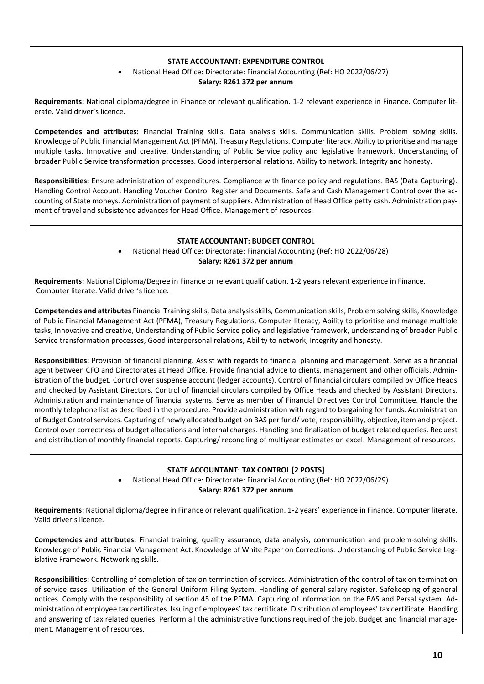## **STATE ACCOUNTANT: EXPENDITURE CONTROL**

# • National Head Office: Directorate: Financial Accounting (Ref: HO 2022/06/27)

#### **Salary: R261 372 per annum**

**Requirements:** National diploma/degree in Finance or relevant qualification. 1-2 relevant experience in Finance. Computer literate. Valid driver's licence.

**Competencies and attributes:** Financial Training skills. Data analysis skills. Communication skills. Problem solving skills. Knowledge of Public Financial Management Act (PFMA). Treasury Regulations. Computer literacy. Ability to prioritise and manage multiple tasks. Innovative and creative. Understanding of Public Service policy and legislative framework. Understanding of broader Public Service transformation processes. Good interpersonal relations. Ability to network. Integrity and honesty.

**Responsibilities:** Ensure administration of expenditures. Compliance with finance policy and regulations. BAS (Data Capturing). Handling Control Account. Handling Voucher Control Register and Documents. Safe and Cash Management Control over the accounting of State moneys. Administration of payment of suppliers. Administration of Head Office petty cash. Administration payment of travel and subsistence advances for Head Office. Management of resources.

### **STATE ACCOUNTANT: BUDGET CONTROL**

• National Head Office: Directorate: Financial Accounting (Ref: HO 2022/06/28) **Salary: R261 372 per annum**

**Requirements:** National Diploma/Degree in Finance or relevant qualification. 1-2 years relevant experience in Finance. Computer literate. Valid driver's licence.

**Competencies and attributes** Financial Training skills, Data analysis skills, Communication skills, Problem solving skills, Knowledge of Public Financial Management Act (PFMA), Treasury Regulations, Computer literacy, Ability to prioritise and manage multiple tasks, Innovative and creative, Understanding of Public Service policy and legislative framework, understanding of broader Public Service transformation processes, Good interpersonal relations, Ability to network, Integrity and honesty.

**Responsibilities:** Provision of financial planning. Assist with regards to financial planning and management. Serve as a financial agent between CFO and Directorates at Head Office. Provide financial advice to clients, management and other officials. Administration of the budget. Control over suspense account (ledger accounts). Control of financial circulars compiled by Office Heads and checked by Assistant Directors. Control of financial circulars compiled by Office Heads and checked by Assistant Directors. Administration and maintenance of financial systems. Serve as member of Financial Directives Control Committee. Handle the monthly telephone list as described in the procedure. Provide administration with regard to bargaining for funds. Administration of Budget Control services. Capturing of newly allocated budget on BAS per fund/ vote, responsibility, objective, item and project. Control over correctness of budget allocations and internal charges. Handling and finalization of budget related queries. Request and distribution of monthly financial reports. Capturing/ reconciling of multiyear estimates on excel. Management of resources.

# **STATE ACCOUNTANT: TAX CONTROL [2 POSTS]**

• National Head Office: Directorate: Financial Accounting (Ref: HO 2022/06/29) **Salary: R261 372 per annum**

**Requirements:** National diploma/degree in Finance or relevant qualification. 1-2 years' experience in Finance. Computer literate. Valid driver's licence.

**Competencies and attributes:** Financial training, quality assurance, data analysis, communication and problem-solving skills. Knowledge of Public Financial Management Act. Knowledge of White Paper on Corrections. Understanding of Public Service Legislative Framework. Networking skills.

**Responsibilities:** Controlling of completion of tax on termination of services. Administration of the control of tax on termination of service cases. Utilization of the General Uniform Filing System. Handling of general salary register. Safekeeping of general notices. Comply with the responsibility of section 45 of the PFMA. Capturing of information on the BAS and Persal system. Administration of employee tax certificates. Issuing of employees' tax certificate. Distribution of employees' tax certificate. Handling and answering of tax related queries. Perform all the administrative functions required of the job. Budget and financial management. Management of resources.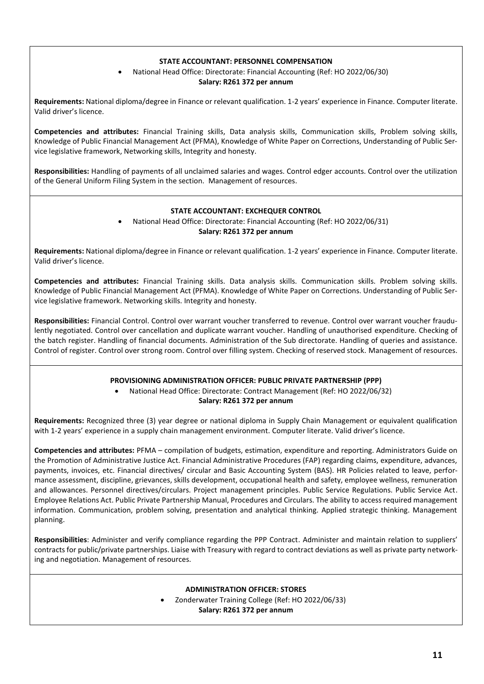### **STATE ACCOUNTANT: PERSONNEL COMPENSATION**

# • National Head Office: Directorate: Financial Accounting (Ref: HO 2022/06/30)

#### **Salary: R261 372 per annum**

**Requirements:** National diploma/degree in Finance or relevant qualification. 1-2 years' experience in Finance. Computer literate. Valid driver's licence.

**Competencies and attributes:** Financial Training skills, Data analysis skills, Communication skills, Problem solving skills, Knowledge of Public Financial Management Act (PFMA), Knowledge of White Paper on Corrections, Understanding of Public Service legislative framework, Networking skills, Integrity and honesty.

**Responsibilities:** Handling of payments of all unclaimed salaries and wages. Control edger accounts. Control over the utilization of the General Uniform Filing System in the section. Management of resources.

# **STATE ACCOUNTANT: EXCHEQUER CONTROL**

• National Head Office: Directorate: Financial Accounting (Ref: HO 2022/06/31) **Salary: R261 372 per annum**

**Requirements:** National diploma/degree in Finance or relevant qualification. 1-2 years' experience in Finance. Computer literate. Valid driver's licence.

**Competencies and attributes:** Financial Training skills. Data analysis skills. Communication skills. Problem solving skills. Knowledge of Public Financial Management Act (PFMA). Knowledge of White Paper on Corrections. Understanding of Public Service legislative framework. Networking skills. Integrity and honesty.

**Responsibilities:** Financial Control. Control over warrant voucher transferred to revenue. Control over warrant voucher fraudulently negotiated. Control over cancellation and duplicate warrant voucher. Handling of unauthorised expenditure. Checking of the batch register. Handling of financial documents. Administration of the Sub directorate. Handling of queries and assistance. Control of register. Control over strong room. Control over filling system. Checking of reserved stock. Management of resources.

### **PROVISIONING ADMINISTRATION OFFICER: PUBLIC PRIVATE PARTNERSHIP (PPP)**

• National Head Office: Directorate: Contract Management (Ref: HO 2022/06/32) **Salary: R261 372 per annum**

**Requirements:** Recognized three (3) year degree or national diploma in Supply Chain Management or equivalent qualification with 1-2 years' experience in a supply chain management environment. Computer literate. Valid driver's licence.

**Competencies and attributes:** PFMA – compilation of budgets, estimation, expenditure and reporting. Administrators Guide on the Promotion of Administrative Justice Act. Financial Administrative Procedures (FAP) regarding claims, expenditure, advances, payments, invoices, etc. Financial directives/ circular and Basic Accounting System (BAS). HR Policies related to leave, performance assessment, discipline, grievances, skills development, occupational health and safety, employee wellness, remuneration and allowances. Personnel directives/circulars. Project management principles. Public Service Regulations. Public Service Act. Employee Relations Act. Public Private Partnership Manual, Procedures and Circulars. The ability to access required management information. Communication, problem solving, presentation and analytical thinking. Applied strategic thinking. Management planning.

**Responsibilities**: Administer and verify compliance regarding the PPP Contract. Administer and maintain relation to suppliers' contracts for public/private partnerships. Liaise with Treasury with regard to contract deviations as well as private party networking and negotiation. Management of resources.

### **ADMINISTRATION OFFICER: STORES**

• Zonderwater Training College (Ref: HO 2022/06/33)

**Salary: R261 372 per annum**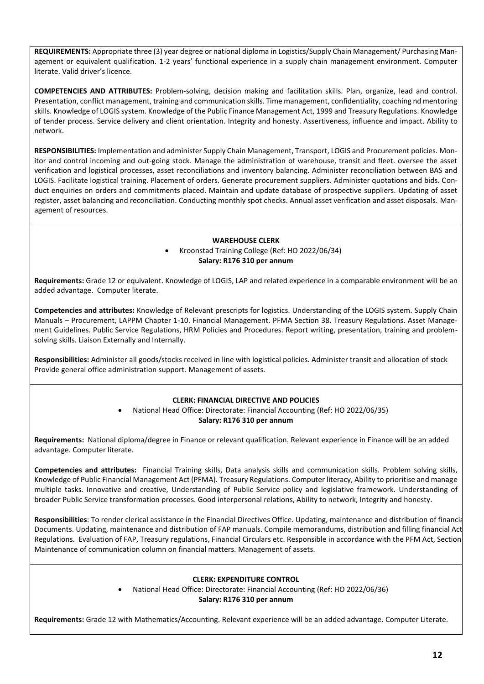**REQUIREMENTS:** Appropriate three (3) year degree or national diploma in Logistics/Supply Chain Management/ Purchasing Management or equivalent qualification. 1-2 years' functional experience in a supply chain management environment. Computer literate. Valid driver's licence.

**COMPETENCIES AND ATTRIBUTES:** Problem-solving, decision making and facilitation skills. Plan, organize, lead and control. Presentation, conflict management, training and communication skills. Time management, confidentiality, coaching nd mentoring skills. Knowledge of LOGIS system. Knowledge of the Public Finance Management Act, 1999 and Treasury Regulations. Knowledge of tender process. Service delivery and client orientation. Integrity and honesty. Assertiveness, influence and impact. Ability to network.

**RESPONSIBILITIES:** Implementation and administer Supply Chain Management, Transport, LOGIS and Procurement policies. Monitor and control incoming and out-going stock. Manage the administration of warehouse, transit and fleet. oversee the asset verification and logistical processes, asset reconciliations and inventory balancing. Administer reconciliation between BAS and LOGIS. Facilitate logistical training. Placement of orders. Generate procurement suppliers. Administer quotations and bids. Conduct enquiries on orders and commitments placed. Maintain and update database of prospective suppliers. Updating of asset register, asset balancing and reconciliation. Conducting monthly spot checks. Annual asset verification and asset disposals. Management of resources.

### **WAREHOUSE CLERK**

• Kroonstad Training College (Ref: HO 2022/06/34) **Salary: R176 310 per annum**

**Requirements:** Grade 12 or equivalent. Knowledge of LOGIS, LAP and related experience in a comparable environment will be an added advantage. Computer literate.

**Competencies and attributes:** Knowledge of Relevant prescripts for logistics. Understanding of the LOGIS system. Supply Chain Manuals – Procurement, LAPPM Chapter 1-10. Financial Management. PFMA Section 38. Treasury Regulations. Asset Management Guidelines. Public Service Regulations, HRM Policies and Procedures. Report writing, presentation, training and problemsolving skills. Liaison Externally and Internally.

**Responsibilities:** Administer all goods/stocks received in line with logistical policies. Administer transit and allocation of stock Provide general office administration support. Management of assets.

### **CLERK: FINANCIAL DIRECTIVE AND POLICIES**

• National Head Office: Directorate: Financial Accounting (Ref: HO 2022/06/35) **Salary: R176 310 per annum**

**Requirements:** National diploma/degree in Finance or relevant qualification. Relevant experience in Finance will be an added advantage. Computer literate.

**Competencies and attributes:** Financial Training skills, Data analysis skills and communication skills. Problem solving skills, Knowledge of Public Financial Management Act (PFMA). Treasury Regulations. Computer literacy, Ability to prioritise and manage multiple tasks. Innovative and creative, Understanding of Public Service policy and legislative framework. Understanding of broader Public Service transformation processes. Good interpersonal relations, Ability to network, Integrity and honesty.

**Responsibilities**: To render clerical assistance in the Financial Directives Office. Updating, maintenance and distribution of financial Documents. Updating, maintenance and distribution of FAP manuals. Compile memorandums, distribution and filling financial Act Regulations. Evaluation of FAP, Treasury regulations, Financial Circulars etc. Responsible in accordance with the PFM Act, Section 45. Maintenance of communication column on financial matters. Management of assets.

#### **CLERK: EXPENDITURE CONTROL**

• National Head Office: Directorate: Financial Accounting (Ref: HO 2022/06/36) **Salary: R176 310 per annum**

**Requirements:** Grade 12 with Mathematics/Accounting. Relevant experience will be an added advantage. Computer Literate.